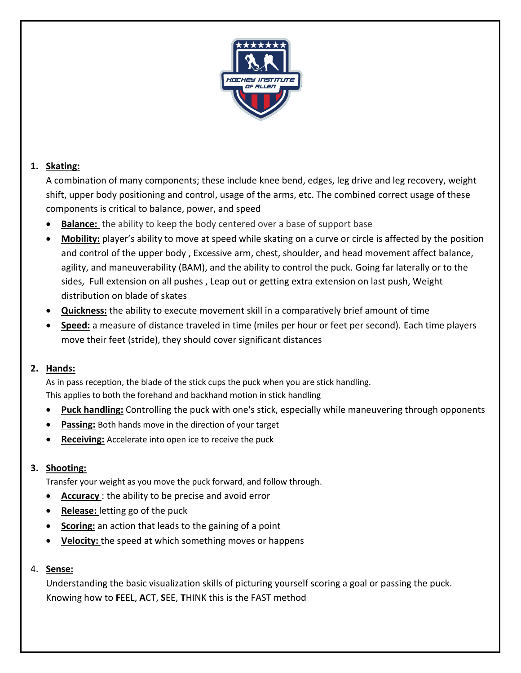

# **1. Skating:**

A combination of many components; these include knee bend, edges, leg drive and leg recovery, weight shift, upper body positioning and control, usage of the arms, etc. The combined correct usage of these components is critical to balance, power, and speed

- **Balance:** the ability to keep the body centered over a base of support base
- **Mobility:** player's ability to move at speed while skating on a curve or circle is affected by the position and control of the upper body , Excessive arm, chest, shoulder, and head movement affect balance, agility, and maneuverability (BAM), and the ability to control the puck. Going far laterally or to the sides, Full extension on all pushes , Leap out or getting extra extension on last push, Weight distribution on blade of skates
- **Quickness:** the ability to execute movement skill in a comparatively brief amount of time
- **Speed:** a measure of distance traveled in time (miles per hour or feet per second). Each time players move their feet (stride), they should cover significant distances

### **2. Hands:**

As in pass reception, the blade of the stick cups the puck when you are stick handling. This applies to both the forehand and backhand motion in stick handling

- **Puck handling:** Controlling the puck with one's stick, especially while maneuvering through opponents
- **Passing:** Both hands move in the direction of your target
- **Receiving:** Accelerate into open ice to receive the puck

# **3. Shooting:**

Transfer your weight as you move the puck forward, and follow through.

- **Accuracy** : the ability to be precise and avoid error
- **Release:** letting go of the puck
- **Scoring:** an action that leads to the gaining of a point
- **Velocity:** the speed at which something moves or happens

### 4. **Sense:**

Understanding the basic visualization skills of picturing yourself scoring a goal or passing the puck. Knowing how to **F**EEL, **A**CT, **S**EE, **T**HINK this is the FAST method